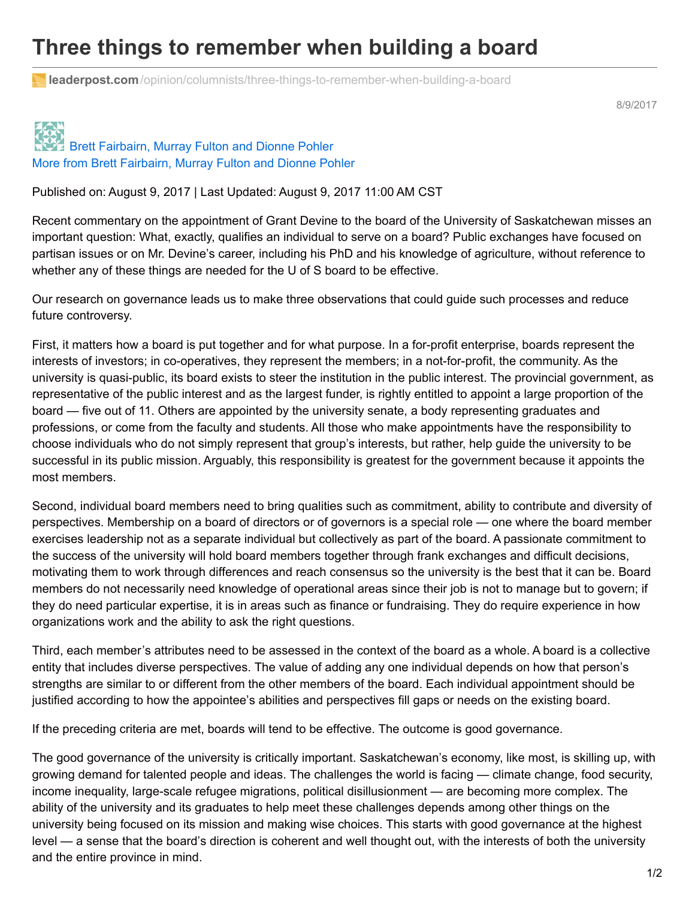## **Three things to remember when building a board**

**leaderpost.com**[/opinion/columnists/three-things-to-remember-when-building-a-board](http://leaderpost.com/opinion/columnists/three-things-to-remember-when-building-a-board?utm_source=Academica+Top+Ten&utm_campaign=219bcc3714-EMAIL_CAMPAIGN_2017_08_10&utm_medium=email&utm_term=0_b4928536cf-219bcc3714-47774737)

8/9/2017

## Brett [Fairbairn,](http://leaderpost.com/author/brett-fairbairn-murray-fulton-and-dianne-pohler) Murray Fulton and Dionne Pohler More from Brett Fairbairn, Murray Fulton and Dionne Pohler

Published on: August 9, 2017 | Last Updated: August 9, 2017 11:00 AM CST

Recent commentary on the appointment of Grant Devine to the board of the University of Saskatchewan misses an important question: What, exactly, qualifies an individual to serve on a board? Public exchanges have focused on partisan issues or on Mr. Devine's career, including his PhD and his knowledge of agriculture, without reference to whether any of these things are needed for the U of S board to be effective.

Our research on governance leads us to make three observations that could guide such processes and reduce future controversy.

First, it matters how a board is put together and for what purpose. In a for-profit enterprise, boards represent the interests of investors; in co-operatives, they represent the members; in a not-for-profit, the community. As the university is quasi-public, its board exists to steer the institution in the public interest. The provincial government, as representative of the public interest and as the largest funder, is rightly entitled to appoint a large proportion of the board — five out of 11. Others are appointed by the university senate, a body representing graduates and professions, or come from the faculty and students. All those who make appointments have the responsibility to choose individuals who do not simply represent that group's interests, but rather, help guide the university to be successful in its public mission. Arguably, this responsibility is greatest for the government because it appoints the most members.

Second, individual board members need to bring qualities such as commitment, ability to contribute and diversity of perspectives. Membership on a board of directors or of governors is a special role — one where the board member exercises leadership not as a separate individual but collectively as part of the board. A passionate commitment to the success of the university will hold board members together through frank exchanges and difficult decisions, motivating them to work through differences and reach consensus so the university is the best that it can be. Board members do not necessarily need knowledge of operational areas since their job is not to manage but to govern; if they do need particular expertise, it is in areas such as finance or fundraising. They do require experience in how organizations work and the ability to ask the right questions.

Third, each member's attributes need to be assessed in the context of the board as a whole. A board is a collective entity that includes diverse perspectives. The value of adding any one individual depends on how that person's strengths are similar to or different from the other members of the board. Each individual appointment should be justified according to how the appointee's abilities and perspectives fill gaps or needs on the existing board.

If the preceding criteria are met, boards will tend to be effective. The outcome is good governance.

The good governance of the university is critically important. Saskatchewan's economy, like most, is skilling up, with growing demand for talented people and ideas. The challenges the world is facing — climate change, food security, income inequality, large-scale refugee migrations, political disillusionment — are becoming more complex. The ability of the university and its graduates to help meet these challenges depends among other things on the university being focused on its mission and making wise choices. This starts with good governance at the highest level — a sense that the board's direction is coherent and well thought out, with the interests of both the university and the entire province in mind.